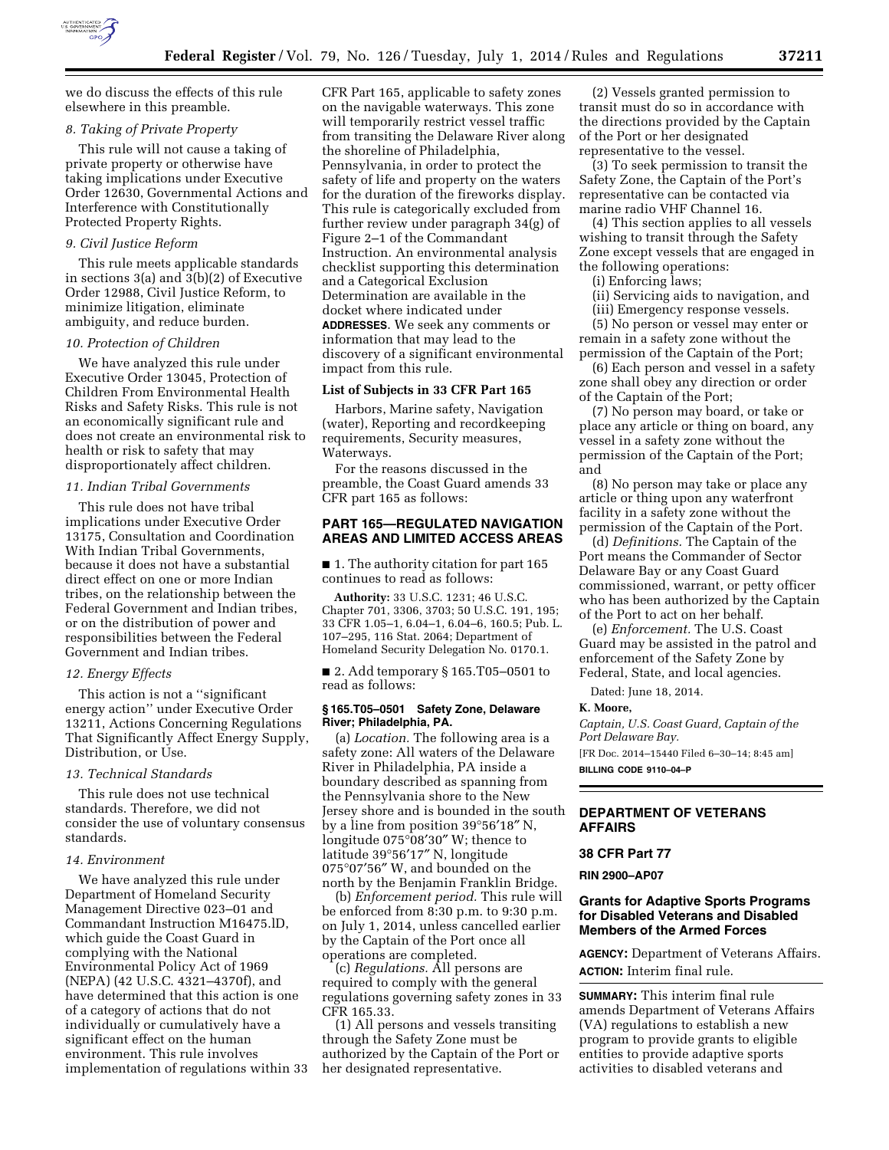

we do discuss the effects of this rule elsewhere in this preamble.

## *8. Taking of Private Property*

This rule will not cause a taking of private property or otherwise have taking implications under Executive Order 12630, Governmental Actions and Interference with Constitutionally Protected Property Rights.

#### *9. Civil Justice Reform*

This rule meets applicable standards in sections 3(a) and 3(b)(2) of Executive Order 12988, Civil Justice Reform, to minimize litigation, eliminate ambiguity, and reduce burden.

### *10. Protection of Children*

We have analyzed this rule under Executive Order 13045, Protection of Children From Environmental Health Risks and Safety Risks. This rule is not an economically significant rule and does not create an environmental risk to health or risk to safety that may disproportionately affect children.

# *11. Indian Tribal Governments*

This rule does not have tribal implications under Executive Order 13175, Consultation and Coordination With Indian Tribal Governments, because it does not have a substantial direct effect on one or more Indian tribes, on the relationship between the Federal Government and Indian tribes, or on the distribution of power and responsibilities between the Federal Government and Indian tribes.

#### *12. Energy Effects*

This action is not a ''significant energy action'' under Executive Order 13211, Actions Concerning Regulations That Significantly Affect Energy Supply, Distribution, or Use.

# *13. Technical Standards*

This rule does not use technical standards. Therefore, we did not consider the use of voluntary consensus standards.

# *14. Environment*

We have analyzed this rule under Department of Homeland Security Management Directive 023–01 and Commandant Instruction M16475.lD, which guide the Coast Guard in complying with the National Environmental Policy Act of 1969 (NEPA) (42 U.S.C. 4321–4370f), and have determined that this action is one of a category of actions that do not individually or cumulatively have a significant effect on the human environment. This rule involves implementation of regulations within 33

CFR Part 165, applicable to safety zones on the navigable waterways. This zone will temporarily restrict vessel traffic from transiting the Delaware River along the shoreline of Philadelphia, Pennsylvania, in order to protect the safety of life and property on the waters for the duration of the fireworks display. This rule is categorically excluded from further review under paragraph 34(g) of Figure 2–1 of the Commandant Instruction. An environmental analysis checklist supporting this determination and a Categorical Exclusion Determination are available in the docket where indicated under **ADDRESSES**. We seek any comments or information that may lead to the discovery of a significant environmental impact from this rule.

### **List of Subjects in 33 CFR Part 165**

Harbors, Marine safety, Navigation (water), Reporting and recordkeeping requirements, Security measures, Waterways.

For the reasons discussed in the preamble, the Coast Guard amends 33 CFR part 165 as follows:

## **PART 165—REGULATED NAVIGATION AREAS AND LIMITED ACCESS AREAS**

■ 1. The authority citation for part 165 continues to read as follows:

**Authority:** 33 U.S.C. 1231; 46 U.S.C. Chapter 701, 3306, 3703; 50 U.S.C. 191, 195; 33 CFR 1.05–1, 6.04–1, 6.04–6, 160.5; Pub. L. 107–295, 116 Stat. 2064; Department of Homeland Security Delegation No. 0170.1.

■ 2. Add temporary § 165.T05-0501 to read as follows:

## **§ 165.T05–0501 Safety Zone, Delaware River; Philadelphia, PA.**

(a) *Location.* The following area is a safety zone: All waters of the Delaware River in Philadelphia, PA inside a boundary described as spanning from the Pennsylvania shore to the New Jersey shore and is bounded in the south by a line from position 39°56′18″ N, longitude 075°08′30″ W; thence to latitude 39°56′17″ N, longitude 075°07′56″ W, and bounded on the north by the Benjamin Franklin Bridge.

(b) *Enforcement period.* This rule will be enforced from 8:30 p.m. to 9:30 p.m. on July 1, 2014, unless cancelled earlier by the Captain of the Port once all operations are completed.

(c) *Regulations.* All persons are required to comply with the general regulations governing safety zones in 33 CFR 165.33.

(1) All persons and vessels transiting through the Safety Zone must be authorized by the Captain of the Port or her designated representative.

(2) Vessels granted permission to transit must do so in accordance with the directions provided by the Captain of the Port or her designated representative to the vessel.

(3) To seek permission to transit the Safety Zone, the Captain of the Port's representative can be contacted via marine radio VHF Channel 16.

(4) This section applies to all vessels wishing to transit through the Safety Zone except vessels that are engaged in the following operations:

(i) Enforcing laws;

(ii) Servicing aids to navigation, and

(iii) Emergency response vessels.

(5) No person or vessel may enter or remain in a safety zone without the permission of the Captain of the Port;

(6) Each person and vessel in a safety zone shall obey any direction or order of the Captain of the Port;

(7) No person may board, or take or place any article or thing on board, any vessel in a safety zone without the permission of the Captain of the Port; and

(8) No person may take or place any article or thing upon any waterfront facility in a safety zone without the permission of the Captain of the Port.

(d) *Definitions.* The Captain of the Port means the Commander of Sector Delaware Bay or any Coast Guard commissioned, warrant, or petty officer who has been authorized by the Captain of the Port to act on her behalf.

(e) *Enforcement.* The U.S. Coast Guard may be assisted in the patrol and enforcement of the Safety Zone by Federal, State, and local agencies.

Dated: June 18, 2014.

#### **K. Moore,**

**AFFAIRS** 

*Captain, U.S. Coast Guard, Captain of the Port Delaware Bay.*  [FR Doc. 2014–15440 Filed 6–30–14; 8:45 am] **BILLING CODE 9110–04–P** 

**DEPARTMENT OF VETERANS** 

#### **38 CFR Part 77**

**RIN 2900–AP07** 

## **Grants for Adaptive Sports Programs for Disabled Veterans and Disabled Members of the Armed Forces**

**AGENCY:** Department of Veterans Affairs. **ACTION:** Interim final rule.

**SUMMARY:** This interim final rule amends Department of Veterans Affairs (VA) regulations to establish a new program to provide grants to eligible entities to provide adaptive sports activities to disabled veterans and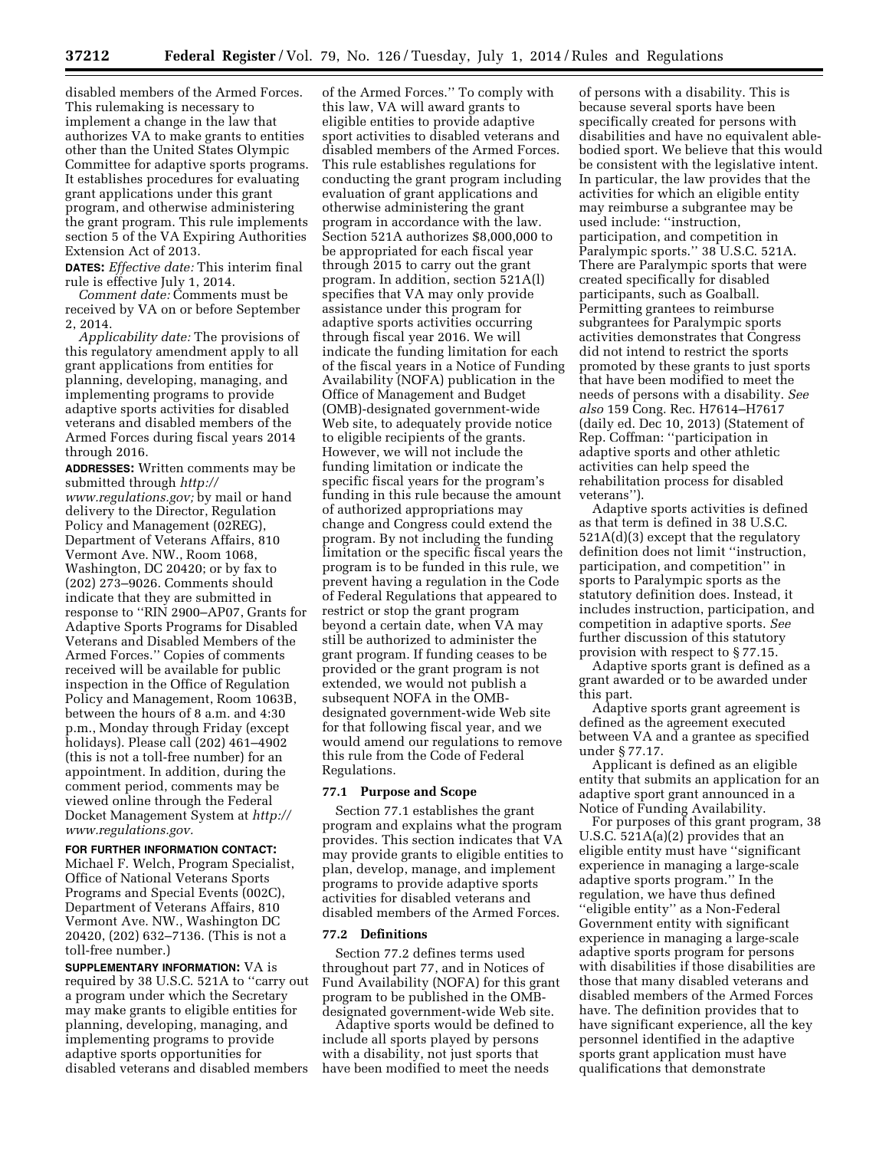disabled members of the Armed Forces. This rulemaking is necessary to implement a change in the law that authorizes VA to make grants to entities other than the United States Olympic Committee for adaptive sports programs. It establishes procedures for evaluating grant applications under this grant program, and otherwise administering the grant program. This rule implements section 5 of the VA Expiring Authorities Extension Act of 2013.

**DATES:** *Effective date:* This interim final rule is effective July 1, 2014.

*Comment date:* Comments must be received by VA on or before September 2, 2014.

*Applicability date:* The provisions of this regulatory amendment apply to all grant applications from entities for planning, developing, managing, and implementing programs to provide adaptive sports activities for disabled veterans and disabled members of the Armed Forces during fiscal years 2014 through 2016.

**ADDRESSES:** Written comments may be submitted through *[http://](http://www.regulations.gov) [www.regulations.gov;](http://www.regulations.gov)* by mail or hand delivery to the Director, Regulation Policy and Management (02REG), Department of Veterans Affairs, 810 Vermont Ave. NW., Room 1068, Washington, DC 20420; or by fax to (202) 273–9026. Comments should indicate that they are submitted in response to ''RIN 2900–AP07, Grants for Adaptive Sports Programs for Disabled Veterans and Disabled Members of the Armed Forces.'' Copies of comments received will be available for public inspection in the Office of Regulation Policy and Management, Room 1063B, between the hours of 8 a.m. and 4:30 p.m., Monday through Friday (except holidays). Please call (202) 461–4902 (this is not a toll-free number) for an appointment. In addition, during the comment period, comments may be viewed online through the Federal Docket Management System at *[http://](http://www.regulations.gov) [www.regulations.gov.](http://www.regulations.gov)* 

# **FOR FURTHER INFORMATION CONTACT:**

Michael F. Welch, Program Specialist, Office of National Veterans Sports Programs and Special Events (002C), Department of Veterans Affairs, 810 Vermont Ave. NW., Washington DC 20420, (202) 632–7136. (This is not a toll-free number.)

**SUPPLEMENTARY INFORMATION:** VA is required by 38 U.S.C. 521A to ''carry out a program under which the Secretary may make grants to eligible entities for planning, developing, managing, and implementing programs to provide adaptive sports opportunities for disabled veterans and disabled members

of the Armed Forces.'' To comply with this law, VA will award grants to eligible entities to provide adaptive sport activities to disabled veterans and disabled members of the Armed Forces. This rule establishes regulations for conducting the grant program including evaluation of grant applications and otherwise administering the grant program in accordance with the law. Section 521A authorizes \$8,000,000 to be appropriated for each fiscal year through 2015 to carry out the grant program. In addition, section 521A(l) specifies that VA may only provide assistance under this program for adaptive sports activities occurring through fiscal year 2016. We will indicate the funding limitation for each of the fiscal years in a Notice of Funding Availability (NOFA) publication in the Office of Management and Budget (OMB)-designated government-wide Web site, to adequately provide notice to eligible recipients of the grants. However, we will not include the funding limitation or indicate the specific fiscal years for the program's funding in this rule because the amount of authorized appropriations may change and Congress could extend the program. By not including the funding limitation or the specific fiscal years the program is to be funded in this rule, we prevent having a regulation in the Code of Federal Regulations that appeared to restrict or stop the grant program beyond a certain date, when VA may still be authorized to administer the grant program. If funding ceases to be provided or the grant program is not extended, we would not publish a subsequent NOFA in the OMBdesignated government-wide Web site for that following fiscal year, and we would amend our regulations to remove this rule from the Code of Federal Regulations.

#### **77.1 Purpose and Scope**

Section 77.1 establishes the grant program and explains what the program provides. This section indicates that VA may provide grants to eligible entities to plan, develop, manage, and implement programs to provide adaptive sports activities for disabled veterans and disabled members of the Armed Forces.

#### **77.2 Definitions**

Section 77.2 defines terms used throughout part 77, and in Notices of Fund Availability (NOFA) for this grant program to be published in the OMBdesignated government-wide Web site.

Adaptive sports would be defined to include all sports played by persons with a disability, not just sports that have been modified to meet the needs

of persons with a disability. This is because several sports have been specifically created for persons with disabilities and have no equivalent ablebodied sport. We believe that this would be consistent with the legislative intent. In particular, the law provides that the activities for which an eligible entity may reimburse a subgrantee may be used include: ''instruction, participation, and competition in Paralympic sports.'' 38 U.S.C. 521A. There are Paralympic sports that were created specifically for disabled participants, such as Goalball. Permitting grantees to reimburse subgrantees for Paralympic sports activities demonstrates that Congress did not intend to restrict the sports promoted by these grants to just sports that have been modified to meet the needs of persons with a disability. *See also* 159 Cong. Rec. H7614–H7617 (daily ed. Dec 10, 2013) (Statement of Rep. Coffman: ''participation in adaptive sports and other athletic activities can help speed the rehabilitation process for disabled veterans'').

Adaptive sports activities is defined as that term is defined in 38 U.S.C. 521A(d)(3) except that the regulatory definition does not limit ''instruction, participation, and competition'' in sports to Paralympic sports as the statutory definition does. Instead, it includes instruction, participation, and competition in adaptive sports. *See*  further discussion of this statutory provision with respect to § 77.15.

Adaptive sports grant is defined as a grant awarded or to be awarded under this part.

Adaptive sports grant agreement is defined as the agreement executed between VA and a grantee as specified under § 77.17.

Applicant is defined as an eligible entity that submits an application for an adaptive sport grant announced in a Notice of Funding Availability.

For purposes of this grant program, 38 U.S.C. 521A(a)(2) provides that an eligible entity must have ''significant experience in managing a large-scale adaptive sports program.'' In the regulation, we have thus defined ''eligible entity'' as a Non-Federal Government entity with significant experience in managing a large-scale adaptive sports program for persons with disabilities if those disabilities are those that many disabled veterans and disabled members of the Armed Forces have. The definition provides that to have significant experience, all the key personnel identified in the adaptive sports grant application must have qualifications that demonstrate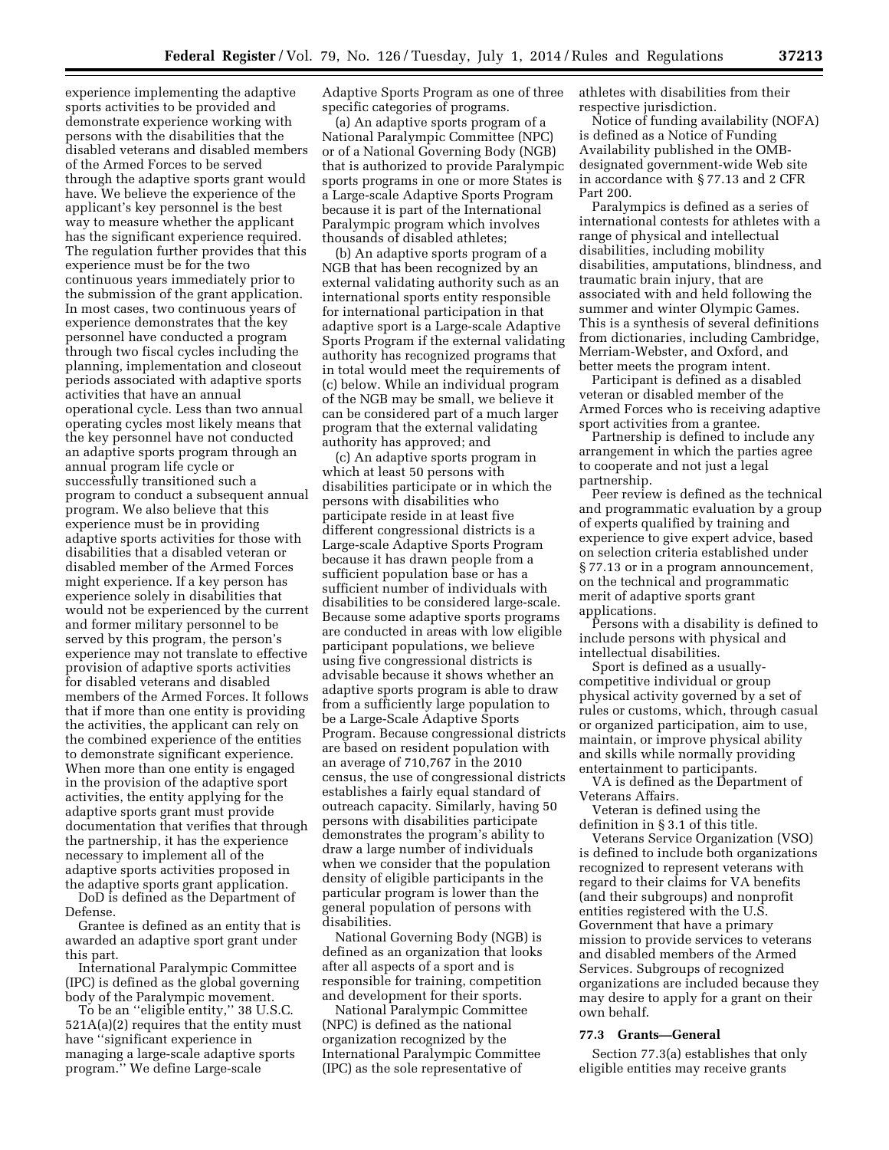experience implementing the adaptive sports activities to be provided and demonstrate experience working with persons with the disabilities that the disabled veterans and disabled members of the Armed Forces to be served through the adaptive sports grant would have. We believe the experience of the applicant's key personnel is the best way to measure whether the applicant has the significant experience required. The regulation further provides that this experience must be for the two continuous years immediately prior to the submission of the grant application. In most cases, two continuous years of experience demonstrates that the key personnel have conducted a program through two fiscal cycles including the planning, implementation and closeout periods associated with adaptive sports activities that have an annual operational cycle. Less than two annual operating cycles most likely means that the key personnel have not conducted an adaptive sports program through an annual program life cycle or successfully transitioned such a program to conduct a subsequent annual program. We also believe that this experience must be in providing adaptive sports activities for those with disabilities that a disabled veteran or disabled member of the Armed Forces might experience. If a key person has experience solely in disabilities that would not be experienced by the current and former military personnel to be served by this program, the person's experience may not translate to effective provision of adaptive sports activities for disabled veterans and disabled members of the Armed Forces. It follows that if more than one entity is providing the activities, the applicant can rely on the combined experience of the entities to demonstrate significant experience. When more than one entity is engaged in the provision of the adaptive sport activities, the entity applying for the adaptive sports grant must provide documentation that verifies that through the partnership, it has the experience necessary to implement all of the adaptive sports activities proposed in the adaptive sports grant application.

DoD is defined as the Department of Defense.

Grantee is defined as an entity that is awarded an adaptive sport grant under this part.

International Paralympic Committee (IPC) is defined as the global governing body of the Paralympic movement.

To be an ''eligible entity,'' 38 U.S.C. 521A(a)(2) requires that the entity must have ''significant experience in managing a large-scale adaptive sports program.'' We define Large-scale

Adaptive Sports Program as one of three specific categories of programs.

(a) An adaptive sports program of a National Paralympic Committee (NPC) or of a National Governing Body (NGB) that is authorized to provide Paralympic sports programs in one or more States is a Large-scale Adaptive Sports Program because it is part of the International Paralympic program which involves thousands of disabled athletes;

(b) An adaptive sports program of a NGB that has been recognized by an external validating authority such as an international sports entity responsible for international participation in that adaptive sport is a Large-scale Adaptive Sports Program if the external validating authority has recognized programs that in total would meet the requirements of (c) below. While an individual program of the NGB may be small, we believe it can be considered part of a much larger program that the external validating authority has approved; and

(c) An adaptive sports program in which at least 50 persons with disabilities participate or in which the persons with disabilities who participate reside in at least five different congressional districts is a Large-scale Adaptive Sports Program because it has drawn people from a sufficient population base or has a sufficient number of individuals with disabilities to be considered large-scale. Because some adaptive sports programs are conducted in areas with low eligible participant populations, we believe using five congressional districts is advisable because it shows whether an adaptive sports program is able to draw from a sufficiently large population to be a Large-Scale Adaptive Sports Program. Because congressional districts are based on resident population with an average of 710,767 in the 2010 census, the use of congressional districts establishes a fairly equal standard of outreach capacity. Similarly, having 50 persons with disabilities participate demonstrates the program's ability to draw a large number of individuals when we consider that the population density of eligible participants in the particular program is lower than the general population of persons with disabilities.

National Governing Body (NGB) is defined as an organization that looks after all aspects of a sport and is responsible for training, competition and development for their sports.

National Paralympic Committee (NPC) is defined as the national organization recognized by the International Paralympic Committee (IPC) as the sole representative of

athletes with disabilities from their respective jurisdiction.

Notice of funding availability (NOFA) is defined as a Notice of Funding Availability published in the OMBdesignated government-wide Web site in accordance with § 77.13 and 2 CFR Part 200.

Paralympics is defined as a series of international contests for athletes with a range of physical and intellectual disabilities, including mobility disabilities, amputations, blindness, and traumatic brain injury, that are associated with and held following the summer and winter Olympic Games. This is a synthesis of several definitions from dictionaries, including Cambridge, Merriam-Webster, and Oxford, and better meets the program intent.

Participant is defined as a disabled veteran or disabled member of the Armed Forces who is receiving adaptive sport activities from a grantee.

Partnership is defined to include any arrangement in which the parties agree to cooperate and not just a legal partnership.

Peer review is defined as the technical and programmatic evaluation by a group of experts qualified by training and experience to give expert advice, based on selection criteria established under § 77.13 or in a program announcement, on the technical and programmatic merit of adaptive sports grant applications.

Persons with a disability is defined to include persons with physical and intellectual disabilities.

Sport is defined as a usuallycompetitive individual or group physical activity governed by a set of rules or customs, which, through casual or organized participation, aim to use, maintain, or improve physical ability and skills while normally providing entertainment to participants.

VA is defined as the Department of Veterans Affairs.

Veteran is defined using the definition in § 3.1 of this title.

Veterans Service Organization (VSO) is defined to include both organizations recognized to represent veterans with regard to their claims for VA benefits (and their subgroups) and nonprofit entities registered with the U.S. Government that have a primary mission to provide services to veterans and disabled members of the Armed Services. Subgroups of recognized organizations are included because they may desire to apply for a grant on their own behalf.

## **77.3 Grants—General**

Section 77.3(a) establishes that only eligible entities may receive grants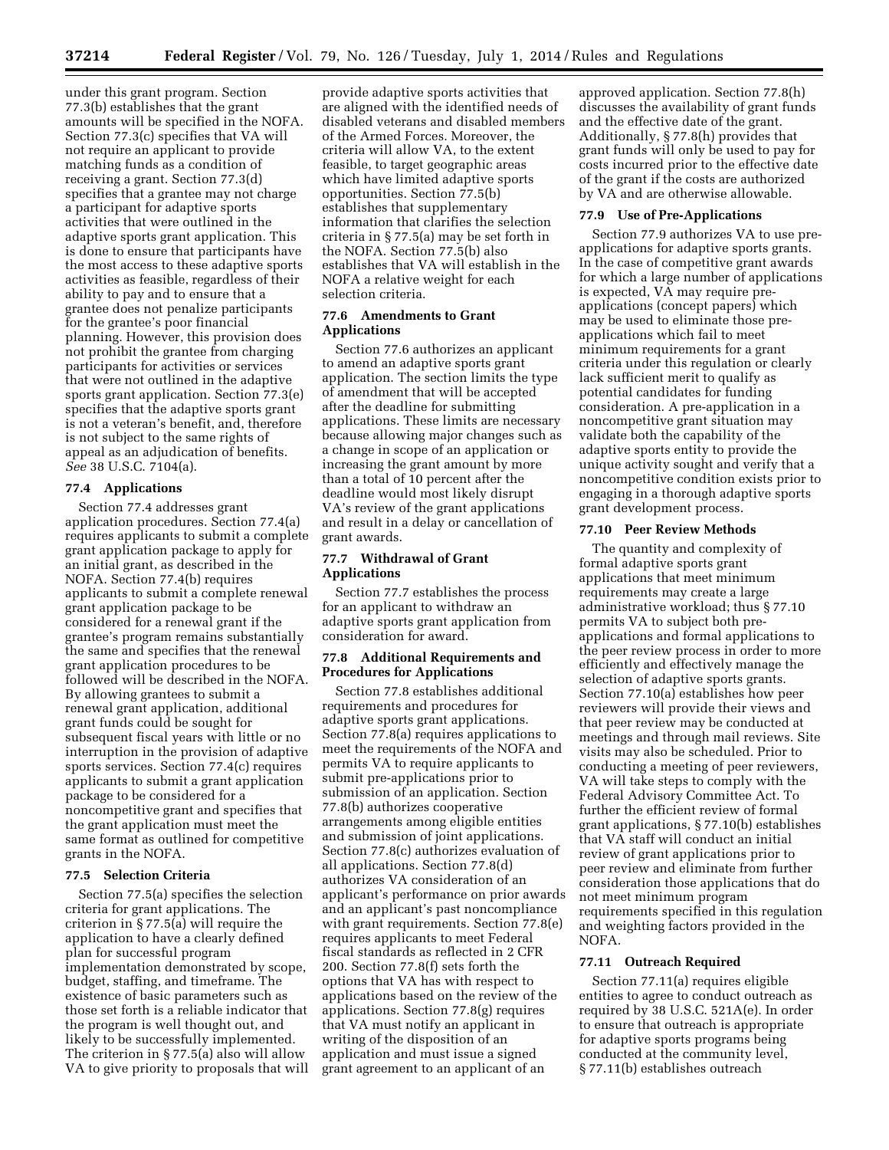under this grant program. Section 77.3(b) establishes that the grant amounts will be specified in the NOFA. Section 77.3(c) specifies that VA will not require an applicant to provide matching funds as a condition of receiving a grant. Section 77.3(d) specifies that a grantee may not charge a participant for adaptive sports activities that were outlined in the adaptive sports grant application. This is done to ensure that participants have the most access to these adaptive sports activities as feasible, regardless of their ability to pay and to ensure that a grantee does not penalize participants for the grantee's poor financial planning. However, this provision does not prohibit the grantee from charging participants for activities or services that were not outlined in the adaptive sports grant application. Section 77.3(e) specifies that the adaptive sports grant is not a veteran's benefit, and, therefore is not subject to the same rights of appeal as an adjudication of benefits. *See* 38 U.S.C. 7104(a).

### **77.4 Applications**

Section 77.4 addresses grant application procedures. Section 77.4(a) requires applicants to submit a complete grant application package to apply for an initial grant, as described in the NOFA. Section 77.4(b) requires applicants to submit a complete renewal grant application package to be considered for a renewal grant if the grantee's program remains substantially the same and specifies that the renewal grant application procedures to be followed will be described in the NOFA. By allowing grantees to submit a renewal grant application, additional grant funds could be sought for subsequent fiscal years with little or no interruption in the provision of adaptive sports services. Section 77.4(c) requires applicants to submit a grant application package to be considered for a noncompetitive grant and specifies that the grant application must meet the same format as outlined for competitive grants in the NOFA.

# **77.5 Selection Criteria**

Section 77.5(a) specifies the selection criteria for grant applications. The criterion in § 77.5(a) will require the application to have a clearly defined plan for successful program implementation demonstrated by scope, budget, staffing, and timeframe. The existence of basic parameters such as those set forth is a reliable indicator that the program is well thought out, and likely to be successfully implemented. The criterion in § 77.5(a) also will allow VA to give priority to proposals that will provide adaptive sports activities that are aligned with the identified needs of disabled veterans and disabled members of the Armed Forces. Moreover, the criteria will allow VA, to the extent feasible, to target geographic areas which have limited adaptive sports opportunities. Section 77.5(b) establishes that supplementary information that clarifies the selection criteria in § 77.5(a) may be set forth in the NOFA. Section 77.5(b) also establishes that VA will establish in the NOFA a relative weight for each selection criteria.

## **77.6 Amendments to Grant Applications**

Section 77.6 authorizes an applicant to amend an adaptive sports grant application. The section limits the type of amendment that will be accepted after the deadline for submitting applications. These limits are necessary because allowing major changes such as a change in scope of an application or increasing the grant amount by more than a total of 10 percent after the deadline would most likely disrupt VA's review of the grant applications and result in a delay or cancellation of grant awards.

## **77.7 Withdrawal of Grant Applications**

Section 77.7 establishes the process for an applicant to withdraw an adaptive sports grant application from consideration for award.

## **77.8 Additional Requirements and Procedures for Applications**

Section 77.8 establishes additional requirements and procedures for adaptive sports grant applications. Section 77.8(a) requires applications to meet the requirements of the NOFA and permits VA to require applicants to submit pre-applications prior to submission of an application. Section 77.8(b) authorizes cooperative arrangements among eligible entities and submission of joint applications. Section 77.8(c) authorizes evaluation of all applications. Section 77.8(d) authorizes VA consideration of an applicant's performance on prior awards and an applicant's past noncompliance with grant requirements. Section 77.8(e) requires applicants to meet Federal fiscal standards as reflected in 2 CFR 200. Section 77.8(f) sets forth the options that VA has with respect to applications based on the review of the applications. Section 77.8(g) requires that VA must notify an applicant in writing of the disposition of an application and must issue a signed grant agreement to an applicant of an

approved application. Section 77.8(h) discusses the availability of grant funds and the effective date of the grant. Additionally, § 77.8(h) provides that grant funds will only be used to pay for costs incurred prior to the effective date of the grant if the costs are authorized by VA and are otherwise allowable.

## **77.9 Use of Pre-Applications**

Section 77.9 authorizes VA to use preapplications for adaptive sports grants. In the case of competitive grant awards for which a large number of applications is expected, VA may require preapplications (concept papers) which may be used to eliminate those preapplications which fail to meet minimum requirements for a grant criteria under this regulation or clearly lack sufficient merit to qualify as potential candidates for funding consideration. A pre-application in a noncompetitive grant situation may validate both the capability of the adaptive sports entity to provide the unique activity sought and verify that a noncompetitive condition exists prior to engaging in a thorough adaptive sports grant development process.

## **77.10 Peer Review Methods**

The quantity and complexity of formal adaptive sports grant applications that meet minimum requirements may create a large administrative workload; thus § 77.10 permits VA to subject both preapplications and formal applications to the peer review process in order to more efficiently and effectively manage the selection of adaptive sports grants. Section 77.10(a) establishes how peer reviewers will provide their views and that peer review may be conducted at meetings and through mail reviews. Site visits may also be scheduled. Prior to conducting a meeting of peer reviewers, VA will take steps to comply with the Federal Advisory Committee Act. To further the efficient review of formal grant applications, § 77.10(b) establishes that VA staff will conduct an initial review of grant applications prior to peer review and eliminate from further consideration those applications that do not meet minimum program requirements specified in this regulation and weighting factors provided in the NOFA.

### **77.11 Outreach Required**

Section 77.11(a) requires eligible entities to agree to conduct outreach as required by 38 U.S.C. 521A(e). In order to ensure that outreach is appropriate for adaptive sports programs being conducted at the community level, § 77.11(b) establishes outreach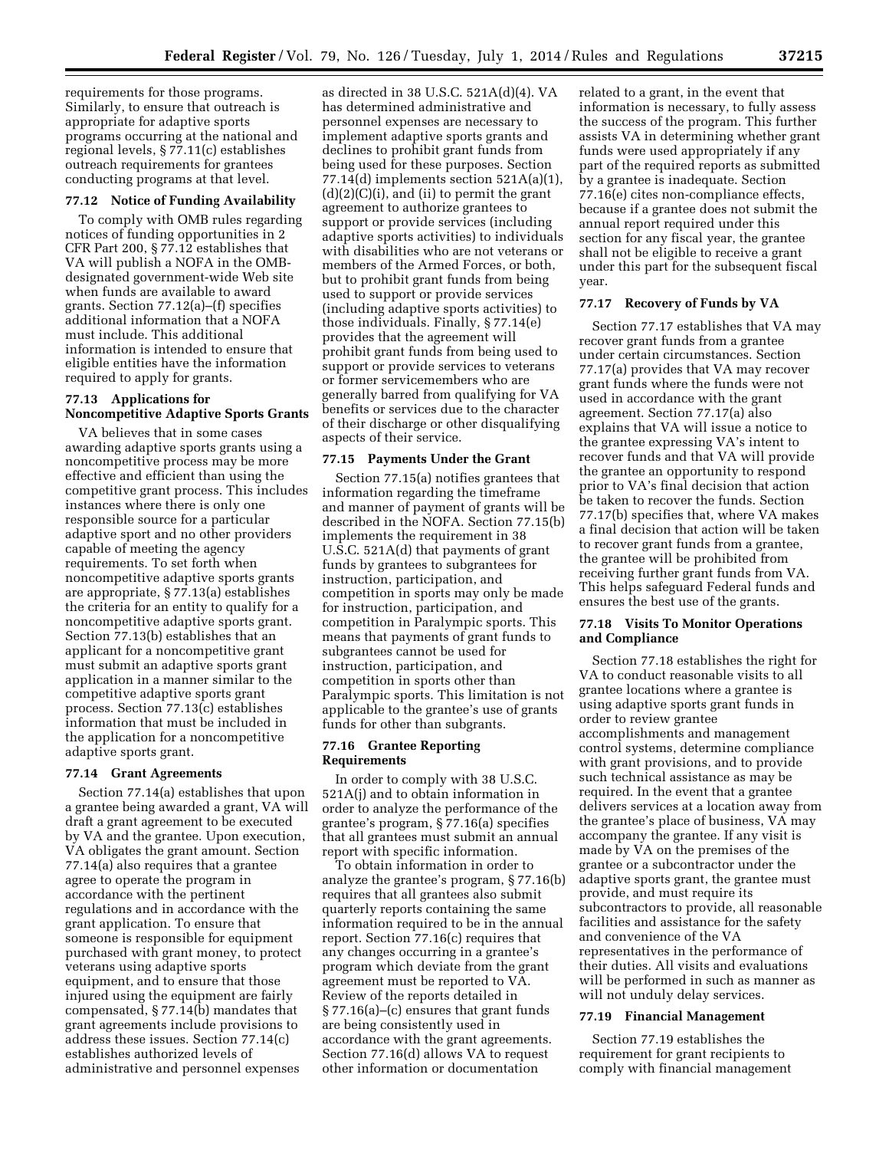requirements for those programs. Similarly, to ensure that outreach is appropriate for adaptive sports programs occurring at the national and regional levels, § 77.11(c) establishes outreach requirements for grantees conducting programs at that level.

#### **77.12 Notice of Funding Availability**

To comply with OMB rules regarding notices of funding opportunities in 2 CFR Part 200, § 77.12 establishes that VA will publish a NOFA in the OMBdesignated government-wide Web site when funds are available to award grants. Section 77.12(a)–(f) specifies additional information that a NOFA must include. This additional information is intended to ensure that eligible entities have the information required to apply for grants.

## **77.13 Applications for Noncompetitive Adaptive Sports Grants**

VA believes that in some cases awarding adaptive sports grants using a noncompetitive process may be more effective and efficient than using the competitive grant process. This includes instances where there is only one responsible source for a particular adaptive sport and no other providers capable of meeting the agency requirements. To set forth when noncompetitive adaptive sports grants are appropriate, § 77.13(a) establishes the criteria for an entity to qualify for a noncompetitive adaptive sports grant. Section 77.13(b) establishes that an applicant for a noncompetitive grant must submit an adaptive sports grant application in a manner similar to the competitive adaptive sports grant process. Section 77.13(c) establishes information that must be included in the application for a noncompetitive adaptive sports grant.

## **77.14 Grant Agreements**

Section 77.14(a) establishes that upon a grantee being awarded a grant, VA will draft a grant agreement to be executed by VA and the grantee. Upon execution, VA obligates the grant amount. Section 77.14(a) also requires that a grantee agree to operate the program in accordance with the pertinent regulations and in accordance with the grant application. To ensure that someone is responsible for equipment purchased with grant money, to protect veterans using adaptive sports equipment, and to ensure that those injured using the equipment are fairly compensated, § 77.14(b) mandates that grant agreements include provisions to address these issues. Section 77.14(c) establishes authorized levels of administrative and personnel expenses

as directed in 38 U.S.C. 521A(d)(4). VA has determined administrative and personnel expenses are necessary to implement adaptive sports grants and declines to prohibit grant funds from being used for these purposes. Section 77.14(d) implements section  $521A(a)(1)$ , (d)(2)(C)(i), and (ii) to permit the grant agreement to authorize grantees to support or provide services (including adaptive sports activities) to individuals with disabilities who are not veterans or members of the Armed Forces, or both, but to prohibit grant funds from being used to support or provide services (including adaptive sports activities) to those individuals. Finally, § 77.14(e) provides that the agreement will prohibit grant funds from being used to support or provide services to veterans or former servicemembers who are generally barred from qualifying for VA benefits or services due to the character of their discharge or other disqualifying aspects of their service.

#### **77.15 Payments Under the Grant**

Section 77.15(a) notifies grantees that information regarding the timeframe and manner of payment of grants will be described in the NOFA. Section 77.15(b) implements the requirement in 38 U.S.C. 521A(d) that payments of grant funds by grantees to subgrantees for instruction, participation, and competition in sports may only be made for instruction, participation, and competition in Paralympic sports. This means that payments of grant funds to subgrantees cannot be used for instruction, participation, and competition in sports other than Paralympic sports. This limitation is not applicable to the grantee's use of grants funds for other than subgrants.

### **77.16 Grantee Reporting Requirements**

In order to comply with 38 U.S.C. 521A(j) and to obtain information in order to analyze the performance of the grantee's program, § 77.16(a) specifies that all grantees must submit an annual report with specific information.

To obtain information in order to analyze the grantee's program, § 77.16(b) requires that all grantees also submit quarterly reports containing the same information required to be in the annual report. Section 77.16(c) requires that any changes occurring in a grantee's program which deviate from the grant agreement must be reported to VA. Review of the reports detailed in § 77.16(a)–(c) ensures that grant funds are being consistently used in accordance with the grant agreements. Section 77.16(d) allows VA to request other information or documentation

related to a grant, in the event that information is necessary, to fully assess the success of the program. This further assists VA in determining whether grant funds were used appropriately if any part of the required reports as submitted by a grantee is inadequate. Section 77.16(e) cites non-compliance effects, because if a grantee does not submit the annual report required under this section for any fiscal year, the grantee shall not be eligible to receive a grant under this part for the subsequent fiscal year.

## **77.17 Recovery of Funds by VA**

Section 77.17 establishes that VA may recover grant funds from a grantee under certain circumstances. Section 77.17(a) provides that VA may recover grant funds where the funds were not used in accordance with the grant agreement. Section 77.17(a) also explains that VA will issue a notice to the grantee expressing VA's intent to recover funds and that VA will provide the grantee an opportunity to respond prior to VA's final decision that action be taken to recover the funds. Section 77.17(b) specifies that, where VA makes a final decision that action will be taken to recover grant funds from a grantee, the grantee will be prohibited from receiving further grant funds from VA. This helps safeguard Federal funds and ensures the best use of the grants.

## **77.18 Visits To Monitor Operations and Compliance**

Section 77.18 establishes the right for VA to conduct reasonable visits to all grantee locations where a grantee is using adaptive sports grant funds in order to review grantee accomplishments and management control systems, determine compliance with grant provisions, and to provide such technical assistance as may be required. In the event that a grantee delivers services at a location away from the grantee's place of business, VA may accompany the grantee. If any visit is made by VA on the premises of the grantee or a subcontractor under the adaptive sports grant, the grantee must provide, and must require its subcontractors to provide, all reasonable facilities and assistance for the safety and convenience of the VA representatives in the performance of their duties. All visits and evaluations will be performed in such as manner as will not unduly delay services.

#### **77.19 Financial Management**

Section 77.19 establishes the requirement for grant recipients to comply with financial management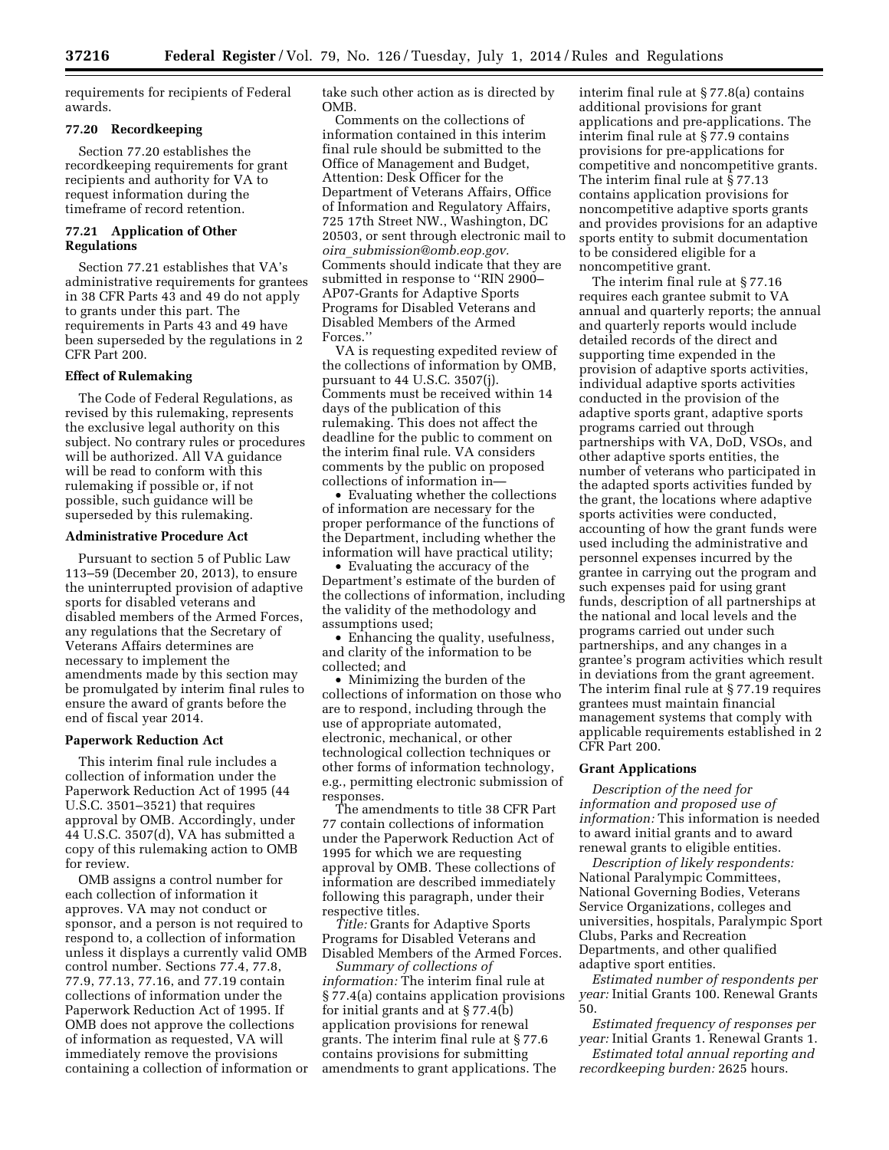requirements for recipients of Federal awards.

## **77.20 Recordkeeping**

Section 77.20 establishes the recordkeeping requirements for grant recipients and authority for VA to request information during the timeframe of record retention.

# **77.21 Application of Other Regulations**

Section 77.21 establishes that VA's administrative requirements for grantees in 38 CFR Parts 43 and 49 do not apply to grants under this part. The requirements in Parts 43 and 49 have been superseded by the regulations in 2 CFR Part 200.

## **Effect of Rulemaking**

The Code of Federal Regulations, as revised by this rulemaking, represents the exclusive legal authority on this subject. No contrary rules or procedures will be authorized. All VA guidance will be read to conform with this rulemaking if possible or, if not possible, such guidance will be superseded by this rulemaking.

#### **Administrative Procedure Act**

Pursuant to section 5 of Public Law 113–59 (December 20, 2013), to ensure the uninterrupted provision of adaptive sports for disabled veterans and disabled members of the Armed Forces, any regulations that the Secretary of Veterans Affairs determines are necessary to implement the amendments made by this section may be promulgated by interim final rules to ensure the award of grants before the end of fiscal year 2014.

# **Paperwork Reduction Act**

This interim final rule includes a collection of information under the Paperwork Reduction Act of 1995 (44 U.S.C. 3501–3521) that requires approval by OMB. Accordingly, under 44 U.S.C. 3507(d), VA has submitted a copy of this rulemaking action to OMB for review.

OMB assigns a control number for each collection of information it approves. VA may not conduct or sponsor, and a person is not required to respond to, a collection of information unless it displays a currently valid OMB control number. Sections 77.4, 77.8, 77.9, 77.13, 77.16, and 77.19 contain collections of information under the Paperwork Reduction Act of 1995. If OMB does not approve the collections of information as requested, VA will immediately remove the provisions containing a collection of information or take such other action as is directed by OMB.

Comments on the collections of information contained in this interim final rule should be submitted to the Office of Management and Budget, Attention: Desk Officer for the Department of Veterans Affairs, Office of Information and Regulatory Affairs, 725 17th Street NW., Washington, DC 20503, or sent through electronic mail to *oira*\_*[submission@omb.eop.gov.](mailto:oira_submission@omb.eop.gov)*  Comments should indicate that they are submitted in response to ''RIN 2900– AP07-Grants for Adaptive Sports Programs for Disabled Veterans and Disabled Members of the Armed Forces.''

VA is requesting expedited review of the collections of information by OMB, pursuant to 44 U.S.C. 3507(j). Comments must be received within 14 days of the publication of this rulemaking. This does not affect the deadline for the public to comment on the interim final rule. VA considers comments by the public on proposed collections of information in—

• Evaluating whether the collections of information are necessary for the proper performance of the functions of the Department, including whether the information will have practical utility;

• Evaluating the accuracy of the Department's estimate of the burden of the collections of information, including the validity of the methodology and assumptions used;

• Enhancing the quality, usefulness, and clarity of the information to be collected; and

• Minimizing the burden of the collections of information on those who are to respond, including through the use of appropriate automated, electronic, mechanical, or other technological collection techniques or other forms of information technology, e.g., permitting electronic submission of responses.

The amendments to title 38 CFR Part 77 contain collections of information under the Paperwork Reduction Act of 1995 for which we are requesting approval by OMB. These collections of information are described immediately following this paragraph, under their respective titles.

*Title:* Grants for Adaptive Sports Programs for Disabled Veterans and Disabled Members of the Armed Forces.

*Summary of collections of information:* The interim final rule at § 77.4(a) contains application provisions for initial grants and at § 77.4(b) application provisions for renewal grants. The interim final rule at § 77.6 contains provisions for submitting amendments to grant applications. The

interim final rule at § 77.8(a) contains additional provisions for grant applications and pre-applications. The interim final rule at § 77.9 contains provisions for pre-applications for competitive and noncompetitive grants. The interim final rule at § 77.13 contains application provisions for noncompetitive adaptive sports grants and provides provisions for an adaptive sports entity to submit documentation to be considered eligible for a noncompetitive grant.

The interim final rule at § 77.16 requires each grantee submit to VA annual and quarterly reports; the annual and quarterly reports would include detailed records of the direct and supporting time expended in the provision of adaptive sports activities, individual adaptive sports activities conducted in the provision of the adaptive sports grant, adaptive sports programs carried out through partnerships with VA, DoD, VSOs, and other adaptive sports entities, the number of veterans who participated in the adapted sports activities funded by the grant, the locations where adaptive sports activities were conducted, accounting of how the grant funds were used including the administrative and personnel expenses incurred by the grantee in carrying out the program and such expenses paid for using grant funds, description of all partnerships at the national and local levels and the programs carried out under such partnerships, and any changes in a grantee's program activities which result in deviations from the grant agreement. The interim final rule at § 77.19 requires grantees must maintain financial management systems that comply with applicable requirements established in 2 CFR Part 200.

#### **Grant Applications**

*Description of the need for information and proposed use of information:* This information is needed to award initial grants and to award renewal grants to eligible entities.

*Description of likely respondents:*  National Paralympic Committees, National Governing Bodies, Veterans Service Organizations, colleges and universities, hospitals, Paralympic Sport Clubs, Parks and Recreation Departments, and other qualified adaptive sport entities.

*Estimated number of respondents per year:* Initial Grants 100. Renewal Grants 50.

*Estimated frequency of responses per year:* Initial Grants 1. Renewal Grants 1.

*Estimated total annual reporting and recordkeeping burden:* 2625 hours.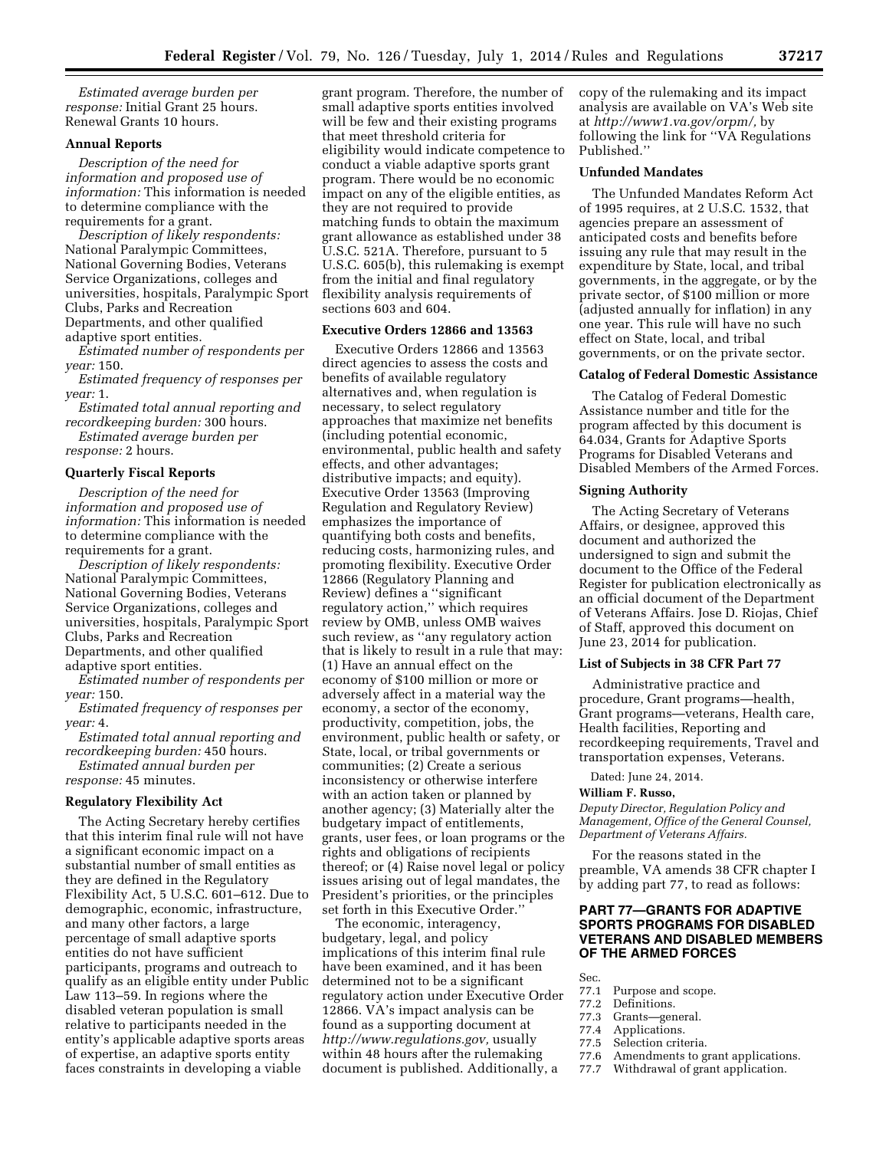*Estimated average burden per response:* Initial Grant 25 hours. Renewal Grants 10 hours.

# **Annual Reports**

*Description of the need for information and proposed use of information:* This information is needed to determine compliance with the requirements for a grant.

*Description of likely respondents:*  National Paralympic Committees, National Governing Bodies, Veterans Service Organizations, colleges and universities, hospitals, Paralympic Sport Clubs, Parks and Recreation Departments, and other qualified adaptive sport entities.

*Estimated number of respondents per year:* 150.

*Estimated frequency of responses per year:* 1.

*Estimated total annual reporting and recordkeeping burden:* 300 hours.

*Estimated average burden per response:* 2 hours.

### **Quarterly Fiscal Reports**

*Description of the need for information and proposed use of information:* This information is needed to determine compliance with the requirements for a grant.

*Description of likely respondents:*  National Paralympic Committees, National Governing Bodies, Veterans Service Organizations, colleges and universities, hospitals, Paralympic Sport Clubs, Parks and Recreation Departments, and other qualified adaptive sport entities.

*Estimated number of respondents per year:* 150.

*Estimated frequency of responses per year:* 4.

*Estimated total annual reporting and recordkeeping burden:* 450 hours. *Estimated annual burden per response:* 45 minutes.

### **Regulatory Flexibility Act**

The Acting Secretary hereby certifies that this interim final rule will not have a significant economic impact on a substantial number of small entities as they are defined in the Regulatory Flexibility Act, 5 U.S.C. 601–612. Due to demographic, economic, infrastructure, and many other factors, a large percentage of small adaptive sports entities do not have sufficient participants, programs and outreach to qualify as an eligible entity under Public Law 113–59. In regions where the disabled veteran population is small relative to participants needed in the entity's applicable adaptive sports areas of expertise, an adaptive sports entity faces constraints in developing a viable

grant program. Therefore, the number of small adaptive sports entities involved will be few and their existing programs that meet threshold criteria for eligibility would indicate competence to conduct a viable adaptive sports grant program. There would be no economic impact on any of the eligible entities, as they are not required to provide matching funds to obtain the maximum grant allowance as established under 38 U.S.C. 521A. Therefore, pursuant to 5 U.S.C. 605(b), this rulemaking is exempt from the initial and final regulatory flexibility analysis requirements of sections 603 and 604.

## **Executive Orders 12866 and 13563**

Executive Orders 12866 and 13563 direct agencies to assess the costs and benefits of available regulatory alternatives and, when regulation is necessary, to select regulatory approaches that maximize net benefits (including potential economic, environmental, public health and safety effects, and other advantages; distributive impacts; and equity). Executive Order 13563 (Improving Regulation and Regulatory Review) emphasizes the importance of quantifying both costs and benefits, reducing costs, harmonizing rules, and promoting flexibility. Executive Order 12866 (Regulatory Planning and Review) defines a ''significant regulatory action,'' which requires review by OMB, unless OMB waives such review, as ''any regulatory action that is likely to result in a rule that may: (1) Have an annual effect on the economy of \$100 million or more or adversely affect in a material way the economy, a sector of the economy, productivity, competition, jobs, the environment, public health or safety, or State, local, or tribal governments or communities; (2) Create a serious inconsistency or otherwise interfere with an action taken or planned by another agency; (3) Materially alter the budgetary impact of entitlements, grants, user fees, or loan programs or the rights and obligations of recipients thereof; or (4) Raise novel legal or policy issues arising out of legal mandates, the President's priorities, or the principles set forth in this Executive Order.''

The economic, interagency, budgetary, legal, and policy implications of this interim final rule have been examined, and it has been determined not to be a significant regulatory action under Executive Order 12866. VA's impact analysis can be found as a supporting document at *[http://www.regulations.gov,](http://www.regulations.gov)* usually within 48 hours after the rulemaking document is published. Additionally, a

copy of the rulemaking and its impact analysis are available on VA's Web site at *[http://www1.va.gov/orpm/,](http://www1.va.gov/orpm/)* by following the link for ''VA Regulations Published.''

### **Unfunded Mandates**

The Unfunded Mandates Reform Act of 1995 requires, at 2 U.S.C. 1532, that agencies prepare an assessment of anticipated costs and benefits before issuing any rule that may result in the expenditure by State, local, and tribal governments, in the aggregate, or by the private sector, of \$100 million or more (adjusted annually for inflation) in any one year. This rule will have no such effect on State, local, and tribal governments, or on the private sector.

### **Catalog of Federal Domestic Assistance**

The Catalog of Federal Domestic Assistance number and title for the program affected by this document is 64.034, Grants for Adaptive Sports Programs for Disabled Veterans and Disabled Members of the Armed Forces.

#### **Signing Authority**

The Acting Secretary of Veterans Affairs, or designee, approved this document and authorized the undersigned to sign and submit the document to the Office of the Federal Register for publication electronically as an official document of the Department of Veterans Affairs. Jose D. Riojas, Chief of Staff, approved this document on June 23, 2014 for publication.

# **List of Subjects in 38 CFR Part 77**

Administrative practice and procedure, Grant programs—health, Grant programs—veterans, Health care, Health facilities, Reporting and recordkeeping requirements, Travel and transportation expenses, Veterans.

Dated: June 24, 2014.

## **William F. Russo,**

*Deputy Director, Regulation Policy and Management, Office of the General Counsel, Department of Veterans Affairs.* 

For the reasons stated in the preamble, VA amends 38 CFR chapter I by adding part 77, to read as follows:

# **PART 77—GRANTS FOR ADAPTIVE SPORTS PROGRAMS FOR DISABLED VETERANS AND DISABLED MEMBERS OF THE ARMED FORCES**

- Sec.<br>77.1
- 77.1 Purpose and scope.<br>77.2 Definitions.
- 77.2 Definitions.<br>77.3 Grants—ger
- 77.3 Grants—general.
- 77.4 Applications.<br>77.5 Selection crite
- 77.5 Selection criteria.<br>77.6 Amendments to g
- 77.6 Amendments to grant applications.<br>77.7 Withdrawal of grant application.
- Withdrawal of grant application.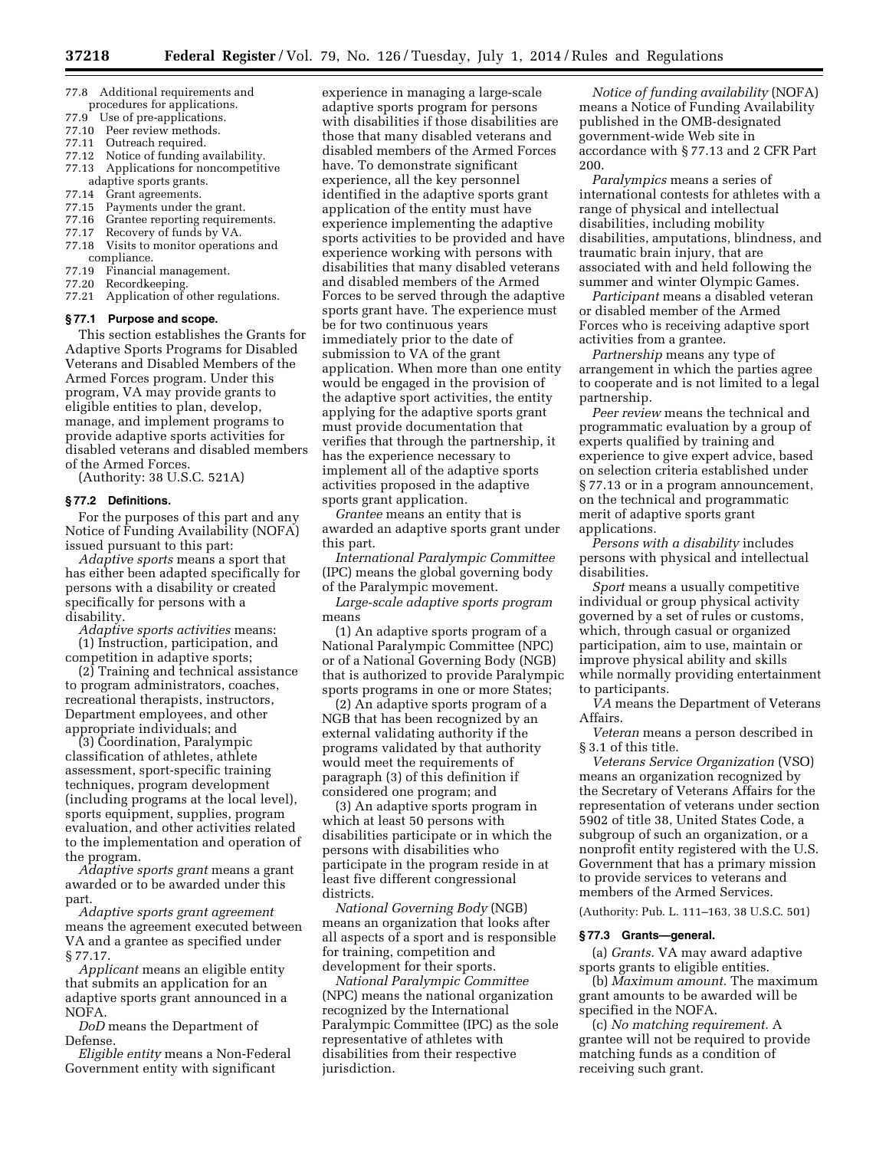- 77.8 Additional requirements and procedures for applications.
- 
- 77.9 Use of pre-applications.<br>77.10 Peer review methods. Peer review methods.
- 77.11 Outreach required.
- 77.12 Notice of funding availability.
- Applications for noncompetitive adaptive sports grants.<br>77.14 Grant agreements.
- Grant agreements.
- 77.15 Payments under the grant.<br>77.16 Grantee reporting requirem
- 77.16 Grantee reporting requirements.<br>77.17 Recovery of funds by VA.
- 77.17 Recovery of funds by VA.<br>77.18 Visits to monitor operatio Visits to monitor operations and
- compliance.<br>77.19 Financia Financial management.
- 77.20 Recordkeeping.
- 77.21 Application of other regulations.

## **§ 77.1 Purpose and scope.**

This section establishes the Grants for Adaptive Sports Programs for Disabled Veterans and Disabled Members of the Armed Forces program. Under this program, VA may provide grants to eligible entities to plan, develop, manage, and implement programs to provide adaptive sports activities for disabled veterans and disabled members of the Armed Forces.

(Authority: 38 U.S.C. 521A)

## **§ 77.2 Definitions.**

For the purposes of this part and any Notice of Funding Availability (NOFA) issued pursuant to this part:

*Adaptive sports* means a sport that has either been adapted specifically for persons with a disability or created specifically for persons with a disability.

*Adaptive sports activities* means: (1) Instruction, participation, and competition in adaptive sports;

(2) Training and technical assistance to program administrators, coaches, recreational therapists, instructors, Department employees, and other appropriate individuals; and

(3) Coordination, Paralympic classification of athletes, athlete assessment, sport-specific training techniques, program development (including programs at the local level), sports equipment, supplies, program evaluation, and other activities related to the implementation and operation of the program.

*Adaptive sports grant* means a grant awarded or to be awarded under this part.

*Adaptive sports grant agreement*  means the agreement executed between VA and a grantee as specified under § 77.17.

*Applicant* means an eligible entity that submits an application for an adaptive sports grant announced in a NOFA.

*DoD* means the Department of Defense.

*Eligible entity* means a Non-Federal Government entity with significant

experience in managing a large-scale adaptive sports program for persons with disabilities if those disabilities are those that many disabled veterans and disabled members of the Armed Forces have. To demonstrate significant experience, all the key personnel identified in the adaptive sports grant application of the entity must have experience implementing the adaptive sports activities to be provided and have experience working with persons with disabilities that many disabled veterans and disabled members of the Armed Forces to be served through the adaptive sports grant have. The experience must be for two continuous years immediately prior to the date of submission to VA of the grant application. When more than one entity would be engaged in the provision of the adaptive sport activities, the entity applying for the adaptive sports grant must provide documentation that verifies that through the partnership, it has the experience necessary to implement all of the adaptive sports activities proposed in the adaptive sports grant application.

*Grantee* means an entity that is awarded an adaptive sports grant under this part.

*International Paralympic Committee*  (IPC) means the global governing body of the Paralympic movement.

*Large-scale adaptive sports program*  means

(1) An adaptive sports program of a National Paralympic Committee (NPC) or of a National Governing Body (NGB) that is authorized to provide Paralympic sports programs in one or more States;

(2) An adaptive sports program of a NGB that has been recognized by an external validating authority if the programs validated by that authority would meet the requirements of paragraph (3) of this definition if considered one program; and

(3) An adaptive sports program in which at least 50 persons with disabilities participate or in which the persons with disabilities who participate in the program reside in at least five different congressional districts.

*National Governing Body* (NGB) means an organization that looks after all aspects of a sport and is responsible for training, competition and development for their sports.

*National Paralympic Committee*  (NPC) means the national organization recognized by the International Paralympic Committee (IPC) as the sole representative of athletes with disabilities from their respective jurisdiction.

*Notice of funding availability* (NOFA) means a Notice of Funding Availability published in the OMB-designated government-wide Web site in accordance with § 77.13 and 2 CFR Part 200.

*Paralympics* means a series of international contests for athletes with a range of physical and intellectual disabilities, including mobility disabilities, amputations, blindness, and traumatic brain injury, that are associated with and held following the summer and winter Olympic Games.

*Participant* means a disabled veteran or disabled member of the Armed Forces who is receiving adaptive sport activities from a grantee.

*Partnership* means any type of arrangement in which the parties agree to cooperate and is not limited to a legal partnership.

*Peer review* means the technical and programmatic evaluation by a group of experts qualified by training and experience to give expert advice, based on selection criteria established under § 77.13 or in a program announcement, on the technical and programmatic merit of adaptive sports grant applications.

*Persons with a disability* includes persons with physical and intellectual disabilities.

*Sport* means a usually competitive individual or group physical activity governed by a set of rules or customs, which, through casual or organized participation, aim to use, maintain or improve physical ability and skills while normally providing entertainment to participants.

*VA* means the Department of Veterans Affairs.

*Veteran* means a person described in § 3.1 of this title.

*Veterans Service Organization* (VSO) means an organization recognized by the Secretary of Veterans Affairs for the representation of veterans under section 5902 of title 38, United States Code, a subgroup of such an organization, or a nonprofit entity registered with the U.S. Government that has a primary mission to provide services to veterans and members of the Armed Services.

(Authority: Pub. L. 111–163, 38 U.S.C. 501)

## **§ 77.3 Grants—general.**

(a) *Grants.* VA may award adaptive sports grants to eligible entities.

(b) *Maximum amount.* The maximum grant amounts to be awarded will be specified in the NOFA.

(c) *No matching requirement.* A grantee will not be required to provide matching funds as a condition of receiving such grant.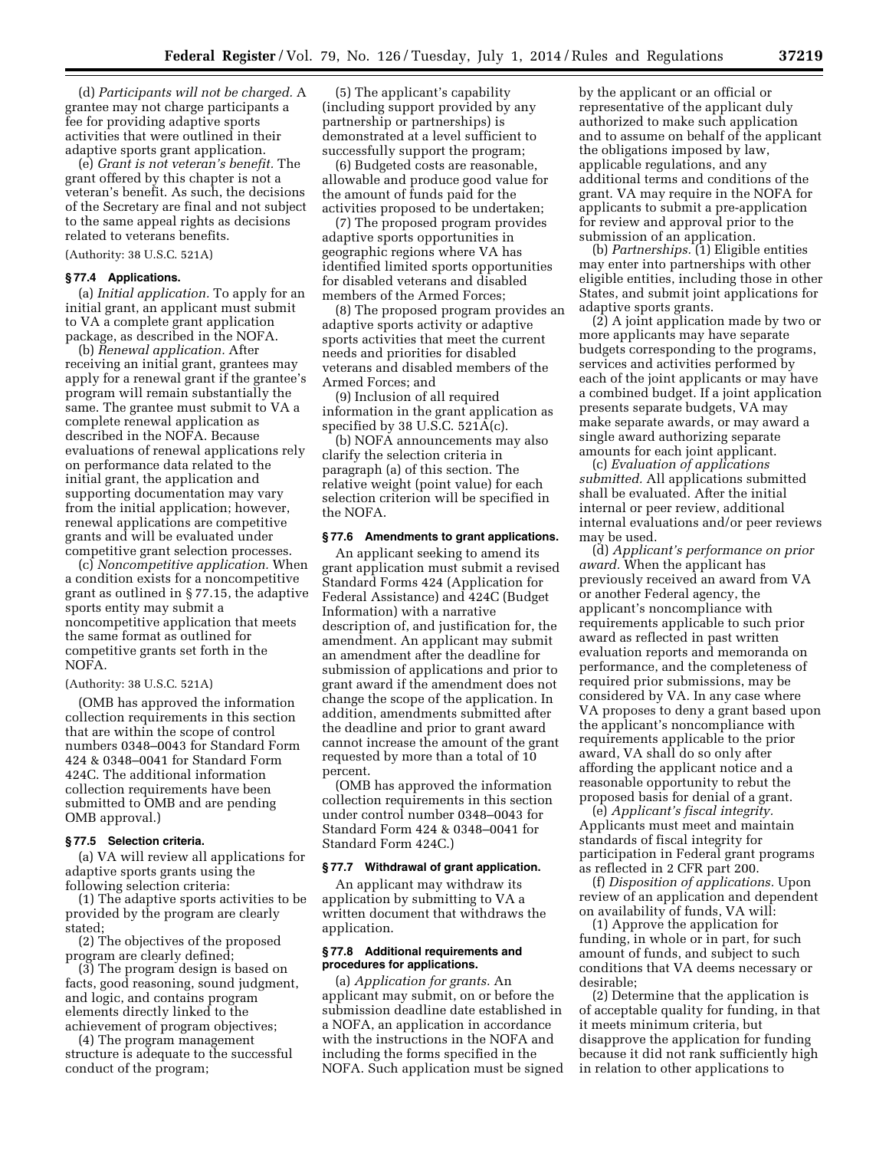(d) *Participants will not be charged.* A grantee may not charge participants a fee for providing adaptive sports activities that were outlined in their adaptive sports grant application.

(e) *Grant is not veteran's benefit.* The grant offered by this chapter is not a veteran's benefit. As such, the decisions of the Secretary are final and not subject to the same appeal rights as decisions related to veterans benefits.

(Authority: 38 U.S.C. 521A)

#### **§ 77.4 Applications.**

(a) *Initial application.* To apply for an initial grant, an applicant must submit to VA a complete grant application package, as described in the NOFA.

(b) *Renewal application.* After receiving an initial grant, grantees may apply for a renewal grant if the grantee's program will remain substantially the same. The grantee must submit to VA a complete renewal application as described in the NOFA. Because evaluations of renewal applications rely on performance data related to the initial grant, the application and supporting documentation may vary from the initial application; however, renewal applications are competitive grants and will be evaluated under competitive grant selection processes.

(c) *Noncompetitive application.* When a condition exists for a noncompetitive grant as outlined in § 77.15, the adaptive sports entity may submit a noncompetitive application that meets the same format as outlined for competitive grants set forth in the NOFA.

#### (Authority: 38 U.S.C. 521A)

(OMB has approved the information collection requirements in this section that are within the scope of control numbers 0348–0043 for Standard Form 424 & 0348–0041 for Standard Form 424C. The additional information collection requirements have been submitted to OMB and are pending OMB approval.)

#### **§ 77.5 Selection criteria.**

(a) VA will review all applications for adaptive sports grants using the following selection criteria:

(1) The adaptive sports activities to be provided by the program are clearly stated;

(2) The objectives of the proposed program are clearly defined;

(3) The program design is based on facts, good reasoning, sound judgment, and logic, and contains program elements directly linked to the achievement of program objectives;

(4) The program management structure is adequate to the successful conduct of the program;

(5) The applicant's capability (including support provided by any partnership or partnerships) is demonstrated at a level sufficient to successfully support the program;

(6) Budgeted costs are reasonable, allowable and produce good value for the amount of funds paid for the activities proposed to be undertaken;

(7) The proposed program provides adaptive sports opportunities in geographic regions where VA has identified limited sports opportunities for disabled veterans and disabled members of the Armed Forces;

(8) The proposed program provides an adaptive sports activity or adaptive sports activities that meet the current needs and priorities for disabled veterans and disabled members of the Armed Forces; and

(9) Inclusion of all required information in the grant application as specified by 38 U.S.C. 521A(c).

(b) NOFA announcements may also clarify the selection criteria in paragraph (a) of this section. The relative weight (point value) for each selection criterion will be specified in the NOFA.

#### **§ 77.6 Amendments to grant applications.**

An applicant seeking to amend its grant application must submit a revised Standard Forms 424 (Application for Federal Assistance) and 424C (Budget Information) with a narrative description of, and justification for, the amendment. An applicant may submit an amendment after the deadline for submission of applications and prior to grant award if the amendment does not change the scope of the application. In addition, amendments submitted after the deadline and prior to grant award cannot increase the amount of the grant requested by more than a total of 10 percent.

(OMB has approved the information collection requirements in this section under control number 0348–0043 for Standard Form 424 & 0348–0041 for Standard Form 424C.)

#### **§ 77.7 Withdrawal of grant application.**

An applicant may withdraw its application by submitting to VA a written document that withdraws the application.

## **§ 77.8 Additional requirements and procedures for applications.**

(a) *Application for grants.* An applicant may submit, on or before the submission deadline date established in a NOFA, an application in accordance with the instructions in the NOFA and including the forms specified in the NOFA. Such application must be signed by the applicant or an official or representative of the applicant duly authorized to make such application and to assume on behalf of the applicant the obligations imposed by law, applicable regulations, and any additional terms and conditions of the grant. VA may require in the NOFA for applicants to submit a pre-application for review and approval prior to the submission of an application.

(b) *Partnerships.* (1) Eligible entities may enter into partnerships with other eligible entities, including those in other States, and submit joint applications for adaptive sports grants.

(2) A joint application made by two or more applicants may have separate budgets corresponding to the programs, services and activities performed by each of the joint applicants or may have a combined budget. If a joint application presents separate budgets, VA may make separate awards, or may award a single award authorizing separate amounts for each joint applicant.

(c) *Evaluation of applications submitted.* All applications submitted shall be evaluated. After the initial internal or peer review, additional internal evaluations and/or peer reviews may be used.

(d) *Applicant's performance on prior award.* When the applicant has previously received an award from VA or another Federal agency, the applicant's noncompliance with requirements applicable to such prior award as reflected in past written evaluation reports and memoranda on performance, and the completeness of required prior submissions, may be considered by VA. In any case where VA proposes to deny a grant based upon the applicant's noncompliance with requirements applicable to the prior award, VA shall do so only after affording the applicant notice and a reasonable opportunity to rebut the proposed basis for denial of a grant.

(e) *Applicant's fiscal integrity.*  Applicants must meet and maintain standards of fiscal integrity for participation in Federal grant programs as reflected in 2 CFR part 200.

(f) *Disposition of applications.* Upon review of an application and dependent on availability of funds, VA will:

(1) Approve the application for funding, in whole or in part, for such amount of funds, and subject to such conditions that VA deems necessary or desirable;

(2) Determine that the application is of acceptable quality for funding, in that it meets minimum criteria, but disapprove the application for funding because it did not rank sufficiently high in relation to other applications to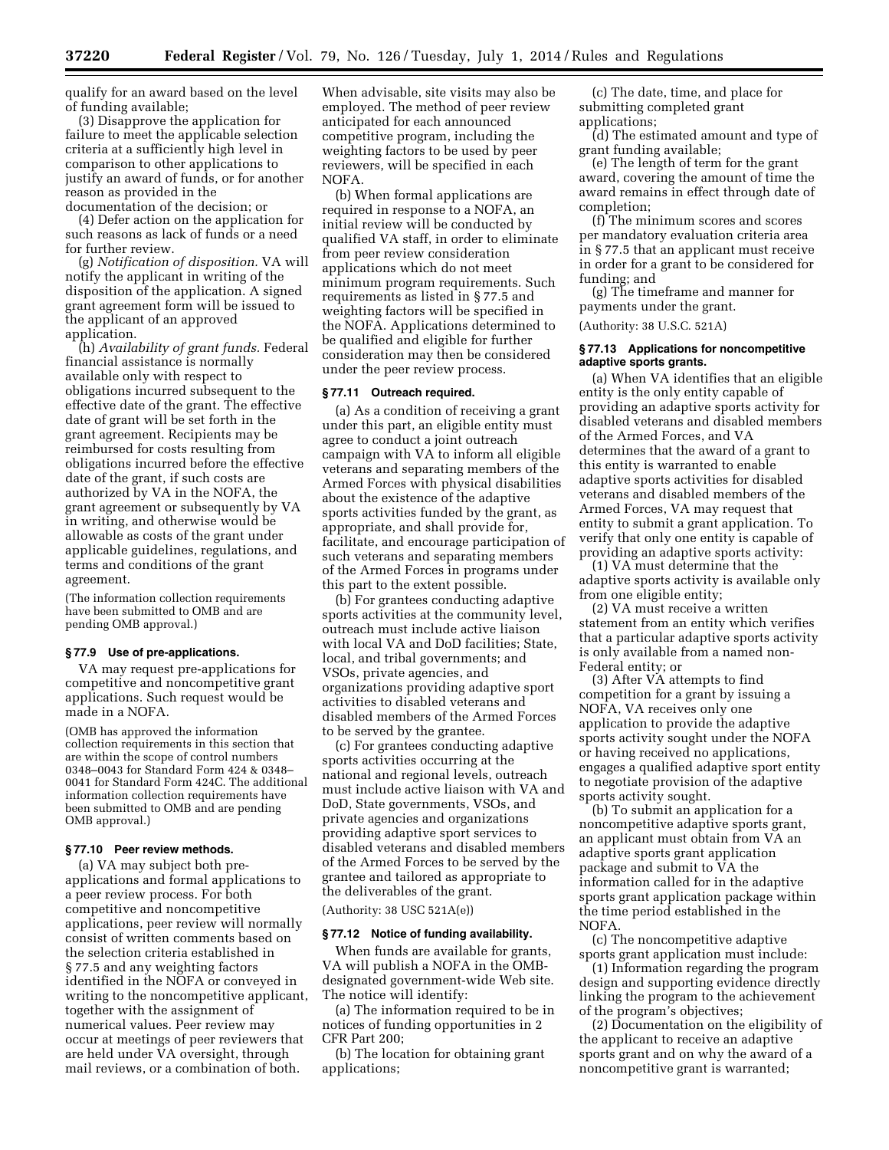qualify for an award based on the level of funding available;

(3) Disapprove the application for failure to meet the applicable selection criteria at a sufficiently high level in comparison to other applications to justify an award of funds, or for another reason as provided in the documentation of the decision; or

(4) Defer action on the application for such reasons as lack of funds or a need for further review.

(g) *Notification of disposition.* VA will notify the applicant in writing of the disposition of the application. A signed grant agreement form will be issued to the applicant of an approved application.

(h) *Availability of grant funds.* Federal financial assistance is normally available only with respect to obligations incurred subsequent to the effective date of the grant. The effective date of grant will be set forth in the grant agreement. Recipients may be reimbursed for costs resulting from obligations incurred before the effective date of the grant, if such costs are authorized by VA in the NOFA, the grant agreement or subsequently by VA in writing, and otherwise would be allowable as costs of the grant under applicable guidelines, regulations, and terms and conditions of the grant agreement.

(The information collection requirements have been submitted to OMB and are pending OMB approval.)

### **§ 77.9 Use of pre-applications.**

VA may request pre-applications for competitive and noncompetitive grant applications. Such request would be made in a NOFA.

(OMB has approved the information collection requirements in this section that are within the scope of control numbers 0348–0043 for Standard Form 424 & 0348– 0041 for Standard Form 424C. The additional information collection requirements have been submitted to OMB and are pending OMB approval.)

#### **§ 77.10 Peer review methods.**

(a) VA may subject both preapplications and formal applications to a peer review process. For both competitive and noncompetitive applications, peer review will normally consist of written comments based on the selection criteria established in § 77.5 and any weighting factors identified in the NOFA or conveyed in writing to the noncompetitive applicant, together with the assignment of numerical values. Peer review may occur at meetings of peer reviewers that are held under VA oversight, through mail reviews, or a combination of both.

When advisable, site visits may also be employed. The method of peer review anticipated for each announced competitive program, including the weighting factors to be used by peer reviewers, will be specified in each NOFA.

(b) When formal applications are required in response to a NOFA, an initial review will be conducted by qualified VA staff, in order to eliminate from peer review consideration applications which do not meet minimum program requirements. Such requirements as listed in § 77.5 and weighting factors will be specified in the NOFA. Applications determined to be qualified and eligible for further consideration may then be considered under the peer review process.

#### **§ 77.11 Outreach required.**

(a) As a condition of receiving a grant under this part, an eligible entity must agree to conduct a joint outreach campaign with VA to inform all eligible veterans and separating members of the Armed Forces with physical disabilities about the existence of the adaptive sports activities funded by the grant, as appropriate, and shall provide for, facilitate, and encourage participation of such veterans and separating members of the Armed Forces in programs under this part to the extent possible.

(b) For grantees conducting adaptive sports activities at the community level, outreach must include active liaison with local VA and DoD facilities; State, local, and tribal governments; and VSOs, private agencies, and organizations providing adaptive sport activities to disabled veterans and disabled members of the Armed Forces to be served by the grantee.

(c) For grantees conducting adaptive sports activities occurring at the national and regional levels, outreach must include active liaison with VA and DoD, State governments, VSOs, and private agencies and organizations providing adaptive sport services to disabled veterans and disabled members of the Armed Forces to be served by the grantee and tailored as appropriate to the deliverables of the grant.

(Authority: 38 USC 521A(e))

#### **§ 77.12 Notice of funding availability.**

When funds are available for grants, VA will publish a NOFA in the OMBdesignated government-wide Web site. The notice will identify:

(a) The information required to be in notices of funding opportunities in 2 CFR Part 200;

(b) The location for obtaining grant applications;

(c) The date, time, and place for submitting completed grant applications;

(d) The estimated amount and type of grant funding available;

(e) The length of term for the grant award, covering the amount of time the award remains in effect through date of completion;

(f) The minimum scores and scores per mandatory evaluation criteria area in § 77.5 that an applicant must receive in order for a grant to be considered for funding; and

(g) The timeframe and manner for payments under the grant.

(Authority: 38 U.S.C. 521A)

## **§ 77.13 Applications for noncompetitive adaptive sports grants.**

(a) When VA identifies that an eligible entity is the only entity capable of providing an adaptive sports activity for disabled veterans and disabled members of the Armed Forces, and VA determines that the award of a grant to this entity is warranted to enable adaptive sports activities for disabled veterans and disabled members of the Armed Forces, VA may request that entity to submit a grant application. To verify that only one entity is capable of providing an adaptive sports activity:

(1) VA must determine that the adaptive sports activity is available only from one eligible entity;

(2) VA must receive a written statement from an entity which verifies that a particular adaptive sports activity is only available from a named non-Federal entity; or

(3) After VA attempts to find competition for a grant by issuing a NOFA, VA receives only one application to provide the adaptive sports activity sought under the NOFA or having received no applications, engages a qualified adaptive sport entity to negotiate provision of the adaptive sports activity sought.

(b) To submit an application for a noncompetitive adaptive sports grant, an applicant must obtain from VA an adaptive sports grant application package and submit to VA the information called for in the adaptive sports grant application package within the time period established in the NOFA.

(c) The noncompetitive adaptive sports grant application must include:

(1) Information regarding the program design and supporting evidence directly linking the program to the achievement of the program's objectives;

(2) Documentation on the eligibility of the applicant to receive an adaptive sports grant and on why the award of a noncompetitive grant is warranted;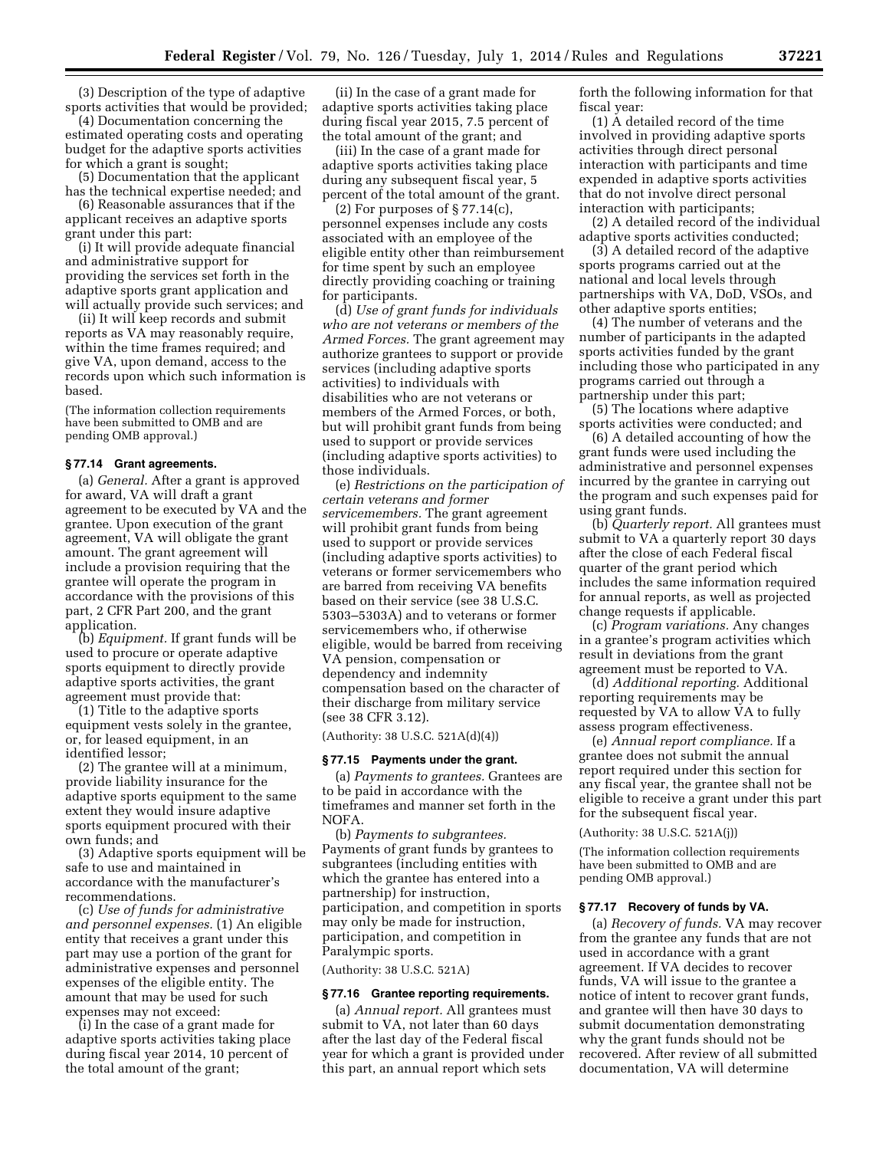(3) Description of the type of adaptive sports activities that would be provided;

(4) Documentation concerning the estimated operating costs and operating budget for the adaptive sports activities for which a grant is sought;

(5) Documentation that the applicant has the technical expertise needed; and (6) Reasonable assurances that if the

applicant receives an adaptive sports grant under this part:

(i) It will provide adequate financial and administrative support for providing the services set forth in the adaptive sports grant application and will actually provide such services; and

(ii) It will keep records and submit reports as VA may reasonably require, within the time frames required; and give VA, upon demand, access to the records upon which such information is based.

(The information collection requirements have been submitted to OMB and are pending OMB approval.)

# **§ 77.14 Grant agreements.**

(a) *General.* After a grant is approved for award, VA will draft a grant agreement to be executed by VA and the grantee. Upon execution of the grant agreement, VA will obligate the grant amount. The grant agreement will include a provision requiring that the grantee will operate the program in accordance with the provisions of this part, 2 CFR Part 200, and the grant application.

(b) *Equipment.* If grant funds will be used to procure or operate adaptive sports equipment to directly provide adaptive sports activities, the grant agreement must provide that:

(1) Title to the adaptive sports equipment vests solely in the grantee, or, for leased equipment, in an identified lessor;

(2) The grantee will at a minimum, provide liability insurance for the adaptive sports equipment to the same extent they would insure adaptive sports equipment procured with their own funds; and

(3) Adaptive sports equipment will be safe to use and maintained in accordance with the manufacturer's recommendations.

(c) *Use of funds for administrative and personnel expenses.* (1) An eligible entity that receives a grant under this part may use a portion of the grant for administrative expenses and personnel expenses of the eligible entity. The amount that may be used for such expenses may not exceed:

(i) In the case of a grant made for adaptive sports activities taking place during fiscal year 2014, 10 percent of the total amount of the grant;

(ii) In the case of a grant made for adaptive sports activities taking place during fiscal year 2015, 7.5 percent of the total amount of the grant; and

(iii) In the case of a grant made for adaptive sports activities taking place during any subsequent fiscal year, 5 percent of the total amount of the grant.

(2) For purposes of § 77.14(c), personnel expenses include any costs associated with an employee of the eligible entity other than reimbursement for time spent by such an employee directly providing coaching or training for participants.

(d) *Use of grant funds for individuals who are not veterans or members of the Armed Forces.* The grant agreement may authorize grantees to support or provide services (including adaptive sports activities) to individuals with disabilities who are not veterans or members of the Armed Forces, or both, but will prohibit grant funds from being used to support or provide services (including adaptive sports activities) to those individuals.

(e) *Restrictions on the participation of certain veterans and former servicemembers.* The grant agreement will prohibit grant funds from being used to support or provide services (including adaptive sports activities) to veterans or former servicemembers who are barred from receiving VA benefits based on their service (see 38 U.S.C. 5303–5303A) and to veterans or former servicemembers who, if otherwise eligible, would be barred from receiving VA pension, compensation or dependency and indemnity compensation based on the character of their discharge from military service (see 38 CFR 3.12).

(Authority: 38 U.S.C. 521A(d)(4))

### **§ 77.15 Payments under the grant.**

(a) *Payments to grantees.* Grantees are to be paid in accordance with the timeframes and manner set forth in the NOFA.

(b) *Payments to subgrantees.*  Payments of grant funds by grantees to subgrantees (including entities with which the grantee has entered into a partnership) for instruction, participation, and competition in sports may only be made for instruction, participation, and competition in Paralympic sports.

(Authority: 38 U.S.C. 521A)

#### **§ 77.16 Grantee reporting requirements.**

(a) *Annual report.* All grantees must submit to VA, not later than 60 days after the last day of the Federal fiscal year for which a grant is provided under this part, an annual report which sets

forth the following information for that fiscal year:

(1) A detailed record of the time involved in providing adaptive sports activities through direct personal interaction with participants and time expended in adaptive sports activities that do not involve direct personal interaction with participants;

(2) A detailed record of the individual adaptive sports activities conducted;

(3) A detailed record of the adaptive sports programs carried out at the national and local levels through partnerships with VA, DoD, VSOs, and other adaptive sports entities;

(4) The number of veterans and the number of participants in the adapted sports activities funded by the grant including those who participated in any programs carried out through a partnership under this part;

(5) The locations where adaptive sports activities were conducted; and

(6) A detailed accounting of how the grant funds were used including the administrative and personnel expenses incurred by the grantee in carrying out the program and such expenses paid for using grant funds.

(b) *Quarterly report.* All grantees must submit to VA a quarterly report 30 days after the close of each Federal fiscal quarter of the grant period which includes the same information required for annual reports, as well as projected change requests if applicable.

(c) *Program variations.* Any changes in a grantee's program activities which result in deviations from the grant agreement must be reported to VA.

(d) *Additional reporting.* Additional reporting requirements may be requested by VA to allow VA to fully assess program effectiveness.

(e) *Annual report compliance.* If a grantee does not submit the annual report required under this section for any fiscal year, the grantee shall not be eligible to receive a grant under this part for the subsequent fiscal year.

(Authority: 38 U.S.C. 521A(j))

(The information collection requirements have been submitted to OMB and are pending OMB approval.)

#### **§ 77.17 Recovery of funds by VA.**

(a) *Recovery of funds.* VA may recover from the grantee any funds that are not used in accordance with a grant agreement. If VA decides to recover funds, VA will issue to the grantee a notice of intent to recover grant funds, and grantee will then have 30 days to submit documentation demonstrating why the grant funds should not be recovered. After review of all submitted documentation, VA will determine